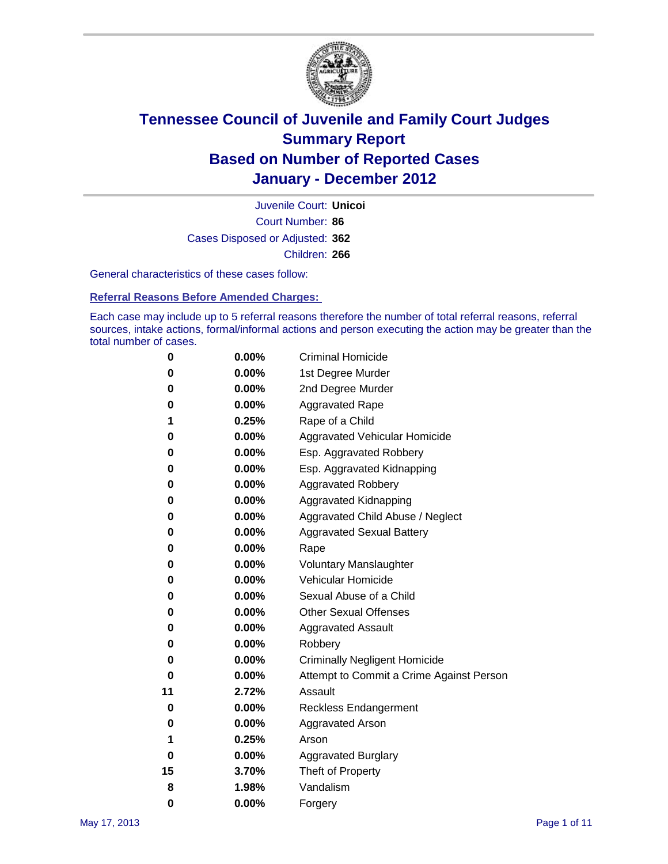

Court Number: **86** Juvenile Court: **Unicoi** Cases Disposed or Adjusted: **362** Children: **266**

General characteristics of these cases follow:

**Referral Reasons Before Amended Charges:** 

Each case may include up to 5 referral reasons therefore the number of total referral reasons, referral sources, intake actions, formal/informal actions and person executing the action may be greater than the total number of cases.

| 0  | 0.00% | <b>Criminal Homicide</b>                 |  |  |  |
|----|-------|------------------------------------------|--|--|--|
| 0  | 0.00% | 1st Degree Murder                        |  |  |  |
| 0  | 0.00% | 2nd Degree Murder                        |  |  |  |
| 0  | 0.00% | <b>Aggravated Rape</b>                   |  |  |  |
| 1  | 0.25% | Rape of a Child                          |  |  |  |
| 0  | 0.00% | Aggravated Vehicular Homicide            |  |  |  |
| 0  | 0.00% | Esp. Aggravated Robbery                  |  |  |  |
| 0  | 0.00% | Esp. Aggravated Kidnapping               |  |  |  |
| 0  | 0.00% | <b>Aggravated Robbery</b>                |  |  |  |
| 0  | 0.00% | Aggravated Kidnapping                    |  |  |  |
| 0  | 0.00% | Aggravated Child Abuse / Neglect         |  |  |  |
| 0  | 0.00% | <b>Aggravated Sexual Battery</b>         |  |  |  |
| 0  | 0.00% | Rape                                     |  |  |  |
| 0  | 0.00% | <b>Voluntary Manslaughter</b>            |  |  |  |
| 0  | 0.00% | Vehicular Homicide                       |  |  |  |
| 0  | 0.00% | Sexual Abuse of a Child                  |  |  |  |
| 0  | 0.00% | <b>Other Sexual Offenses</b>             |  |  |  |
| 0  | 0.00% | <b>Aggravated Assault</b>                |  |  |  |
| 0  | 0.00% | Robbery                                  |  |  |  |
| 0  | 0.00% | <b>Criminally Negligent Homicide</b>     |  |  |  |
| 0  | 0.00% | Attempt to Commit a Crime Against Person |  |  |  |
| 11 | 2.72% | Assault                                  |  |  |  |
| 0  | 0.00% | <b>Reckless Endangerment</b>             |  |  |  |
| 0  | 0.00% | <b>Aggravated Arson</b>                  |  |  |  |
| 1  | 0.25% | Arson                                    |  |  |  |
| 0  | 0.00% | <b>Aggravated Burglary</b>               |  |  |  |
| 15 | 3.70% | Theft of Property                        |  |  |  |
| 8  | 1.98% | Vandalism                                |  |  |  |
| 0  | 0.00% | Forgery                                  |  |  |  |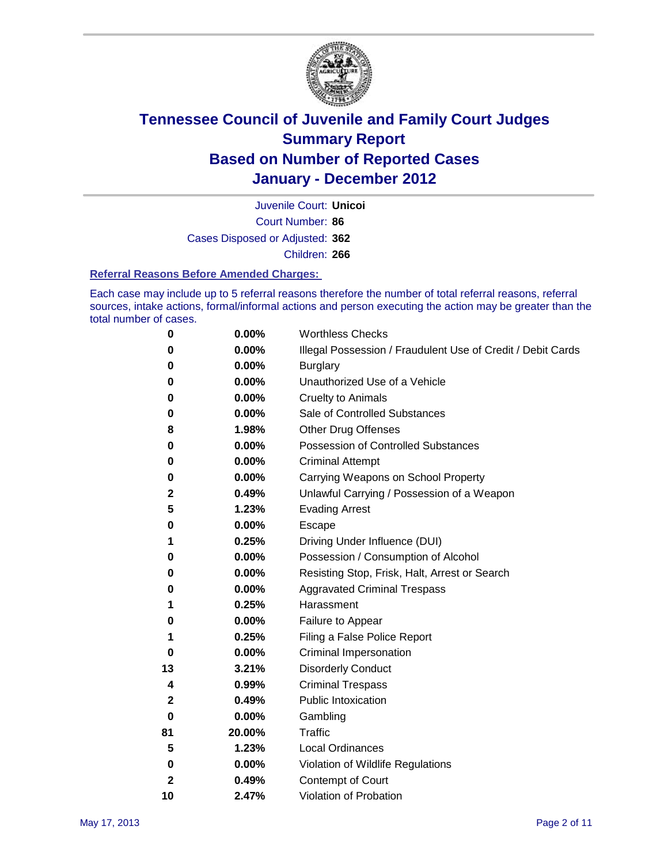

Court Number: **86** Juvenile Court: **Unicoi** Cases Disposed or Adjusted: **362** Children: **266**

#### **Referral Reasons Before Amended Charges:**

Each case may include up to 5 referral reasons therefore the number of total referral reasons, referral sources, intake actions, formal/informal actions and person executing the action may be greater than the total number of cases.

| 0            | 0.00%  | <b>Worthless Checks</b>                                     |
|--------------|--------|-------------------------------------------------------------|
| 0            | 0.00%  | Illegal Possession / Fraudulent Use of Credit / Debit Cards |
| 0            | 0.00%  | <b>Burglary</b>                                             |
| 0            | 0.00%  | Unauthorized Use of a Vehicle                               |
| 0            | 0.00%  | <b>Cruelty to Animals</b>                                   |
| 0            | 0.00%  | Sale of Controlled Substances                               |
| 8            | 1.98%  | <b>Other Drug Offenses</b>                                  |
| 0            | 0.00%  | <b>Possession of Controlled Substances</b>                  |
| 0            | 0.00%  | <b>Criminal Attempt</b>                                     |
| 0            | 0.00%  | Carrying Weapons on School Property                         |
| 2            | 0.49%  | Unlawful Carrying / Possession of a Weapon                  |
| 5            | 1.23%  | <b>Evading Arrest</b>                                       |
| 0            | 0.00%  | Escape                                                      |
| 1            | 0.25%  | Driving Under Influence (DUI)                               |
| 0            | 0.00%  | Possession / Consumption of Alcohol                         |
| 0            | 0.00%  | Resisting Stop, Frisk, Halt, Arrest or Search               |
| 0            | 0.00%  | <b>Aggravated Criminal Trespass</b>                         |
| 1            | 0.25%  | Harassment                                                  |
| 0            | 0.00%  | Failure to Appear                                           |
| 1            | 0.25%  | Filing a False Police Report                                |
| 0            | 0.00%  | Criminal Impersonation                                      |
| 13           | 3.21%  | <b>Disorderly Conduct</b>                                   |
| 4            | 0.99%  | <b>Criminal Trespass</b>                                    |
| 2            | 0.49%  | <b>Public Intoxication</b>                                  |
| 0            | 0.00%  | Gambling                                                    |
| 81           | 20.00% | <b>Traffic</b>                                              |
| 5            | 1.23%  | <b>Local Ordinances</b>                                     |
| 0            | 0.00%  | Violation of Wildlife Regulations                           |
| $\mathbf{2}$ | 0.49%  | Contempt of Court                                           |
| 10           | 2.47%  | Violation of Probation                                      |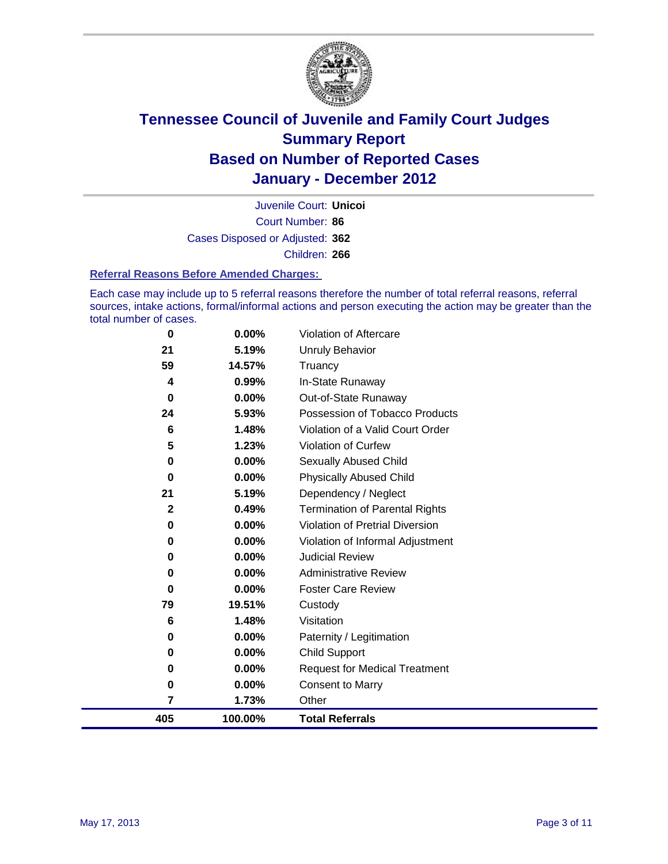

Court Number: **86** Juvenile Court: **Unicoi** Cases Disposed or Adjusted: **362** Children: **266**

#### **Referral Reasons Before Amended Charges:**

Each case may include up to 5 referral reasons therefore the number of total referral reasons, referral sources, intake actions, formal/informal actions and person executing the action may be greater than the total number of cases.

| 0        | 0.00%    | Violation of Aftercare                 |
|----------|----------|----------------------------------------|
| 21       | 5.19%    | <b>Unruly Behavior</b>                 |
| 59       | 14.57%   | Truancy                                |
| 4        | 0.99%    | In-State Runaway                       |
| 0        | 0.00%    | Out-of-State Runaway                   |
| 24       | 5.93%    | Possession of Tobacco Products         |
| 6        | 1.48%    | Violation of a Valid Court Order       |
| 5        | 1.23%    | <b>Violation of Curfew</b>             |
| 0        | 0.00%    | <b>Sexually Abused Child</b>           |
| 0        | $0.00\%$ | <b>Physically Abused Child</b>         |
| 21       | 5.19%    | Dependency / Neglect                   |
| 2        | 0.49%    | <b>Termination of Parental Rights</b>  |
| 0        | 0.00%    | <b>Violation of Pretrial Diversion</b> |
| 0        | $0.00\%$ | Violation of Informal Adjustment       |
| 0        | 0.00%    | <b>Judicial Review</b>                 |
| 0        | 0.00%    | <b>Administrative Review</b>           |
| $\bf{0}$ | 0.00%    | <b>Foster Care Review</b>              |
| 79       | 19.51%   | Custody                                |
| 6        | 1.48%    | Visitation                             |
| 0        | 0.00%    | Paternity / Legitimation               |
| 0        | 0.00%    | <b>Child Support</b>                   |
| 0        | 0.00%    | <b>Request for Medical Treatment</b>   |
| 0        | 0.00%    | <b>Consent to Marry</b>                |
| 7        | 1.73%    | Other                                  |
| 405      | 100.00%  | <b>Total Referrals</b>                 |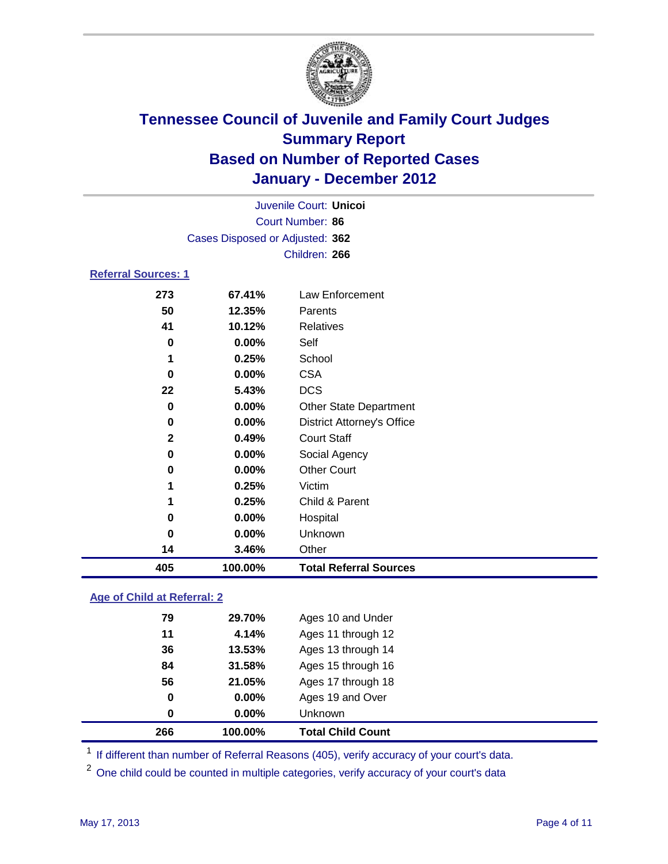

| 405                        | 100.00%                         | <b>Total Referral Sources</b>     |  |  |
|----------------------------|---------------------------------|-----------------------------------|--|--|
| 14                         | 3.46%                           | Other                             |  |  |
| $\bf{0}$                   | 0.00%                           | Unknown                           |  |  |
| 0                          | 0.00%                           | Hospital                          |  |  |
| 1                          | 0.25%                           | Child & Parent                    |  |  |
| 1                          | 0.25%                           | Victim                            |  |  |
| 0                          | 0.00%                           | <b>Other Court</b>                |  |  |
| 0                          | 0.00%                           | Social Agency                     |  |  |
| $\mathbf{2}$               | 0.49%                           | <b>Court Staff</b>                |  |  |
| 0                          | 0.00%                           | <b>District Attorney's Office</b> |  |  |
| 0                          | 0.00%                           | Other State Department            |  |  |
| 22                         | 5.43%                           | <b>DCS</b>                        |  |  |
| 0                          | 0.00%                           | <b>CSA</b>                        |  |  |
| 1                          | 0.25%                           | School                            |  |  |
| $\bf{0}$                   | 0.00%                           | Self                              |  |  |
| 41                         | 10.12%                          | <b>Relatives</b>                  |  |  |
| 50                         | 12.35%                          | Parents                           |  |  |
| 273                        | 67.41%                          | Law Enforcement                   |  |  |
| <b>Referral Sources: 1</b> |                                 |                                   |  |  |
|                            |                                 | Children: 266                     |  |  |
|                            | Cases Disposed or Adjusted: 362 |                                   |  |  |
|                            |                                 |                                   |  |  |
|                            | Court Number: 86                |                                   |  |  |
|                            |                                 | Juvenile Court: Unicoi            |  |  |

### **Age of Child at Referral: 2**

| 0<br>$\bf{0}$ | 0.00%<br>0.00% | Ages 19 and Over<br><b>Unknown</b> |  |
|---------------|----------------|------------------------------------|--|
|               |                |                                    |  |
|               |                |                                    |  |
| 56            | 21.05%         | Ages 17 through 18                 |  |
| 84            | 31.58%         | Ages 15 through 16                 |  |
| 36            | 13.53%         | Ages 13 through 14                 |  |
| 11            | 4.14%          | Ages 11 through 12                 |  |
| 79            | 29.70%         | Ages 10 and Under                  |  |
|               |                |                                    |  |

<sup>1</sup> If different than number of Referral Reasons (405), verify accuracy of your court's data.

<sup>2</sup> One child could be counted in multiple categories, verify accuracy of your court's data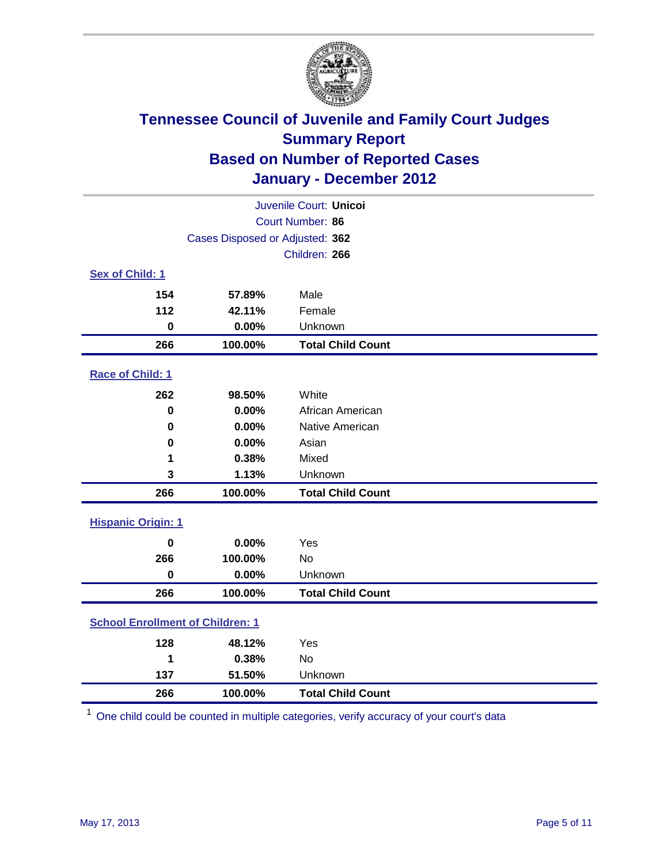

| Juvenile Court: Unicoi                  |         |                          |  |
|-----------------------------------------|---------|--------------------------|--|
| Court Number: 86                        |         |                          |  |
| Cases Disposed or Adjusted: 362         |         |                          |  |
|                                         |         | Children: 266            |  |
| Sex of Child: 1                         |         |                          |  |
| 154                                     | 57.89%  | Male                     |  |
| 112                                     | 42.11%  | Female                   |  |
| $\mathbf 0$                             | 0.00%   | Unknown                  |  |
| 266                                     | 100.00% | <b>Total Child Count</b> |  |
| Race of Child: 1                        |         |                          |  |
| 262                                     | 98.50%  | White                    |  |
| $\mathbf 0$                             | 0.00%   | African American         |  |
| 0                                       | 0.00%   | Native American          |  |
| 0                                       | 0.00%   | Asian                    |  |
| 1                                       | 0.38%   | Mixed                    |  |
| 3                                       | 1.13%   | Unknown                  |  |
| 266                                     | 100.00% | <b>Total Child Count</b> |  |
| <b>Hispanic Origin: 1</b>               |         |                          |  |
| $\mathbf 0$                             | 0.00%   | Yes                      |  |
| 266                                     | 100.00% | <b>No</b>                |  |
| $\mathbf 0$                             | 0.00%   | Unknown                  |  |
| 266                                     | 100.00% | <b>Total Child Count</b> |  |
| <b>School Enrollment of Children: 1</b> |         |                          |  |
| 128                                     | 48.12%  | Yes                      |  |
| 1                                       | 0.38%   | No                       |  |
| 137                                     | 51.50%  | Unknown                  |  |
| 266                                     | 100.00% | <b>Total Child Count</b> |  |

One child could be counted in multiple categories, verify accuracy of your court's data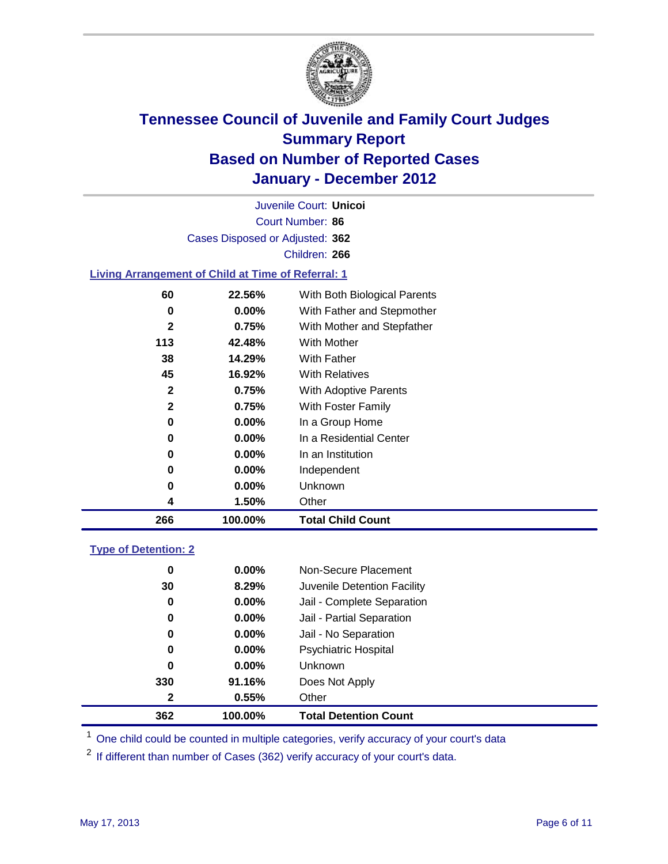

Court Number: **86** Juvenile Court: **Unicoi** Cases Disposed or Adjusted: **362** Children: **266**

#### **Living Arrangement of Child at Time of Referral: 1**

| 266 | 100.00%  | <b>Total Child Count</b>     |
|-----|----------|------------------------------|
| 4   | 1.50%    | Other                        |
| 0   | $0.00\%$ | Unknown                      |
| 0   | $0.00\%$ | Independent                  |
| 0   | $0.00\%$ | In an Institution            |
| 0   | $0.00\%$ | In a Residential Center      |
| 0   | $0.00\%$ | In a Group Home              |
| 2   | 0.75%    | With Foster Family           |
| 2   | 0.75%    | With Adoptive Parents        |
| 45  | 16.92%   | <b>With Relatives</b>        |
| 38  | 14.29%   | With Father                  |
| 113 | 42.48%   | With Mother                  |
| 2   | 0.75%    | With Mother and Stepfather   |
| 0   | $0.00\%$ | With Father and Stepmother   |
| 60  | 22.56%   | With Both Biological Parents |

#### **Type of Detention: 2**

| 362          | 100.00%  | <b>Total Detention Count</b> |
|--------------|----------|------------------------------|
| $\mathbf{2}$ | 0.55%    | Other                        |
| 330          | 91.16%   | Does Not Apply               |
| $\bf{0}$     | $0.00\%$ | Unknown                      |
| 0            | $0.00\%$ | <b>Psychiatric Hospital</b>  |
| 0            | 0.00%    | Jail - No Separation         |
| 0            | $0.00\%$ | Jail - Partial Separation    |
| 0            | 0.00%    | Jail - Complete Separation   |
| 30           | 8.29%    | Juvenile Detention Facility  |
| 0            | $0.00\%$ | Non-Secure Placement         |
|              |          |                              |

<sup>1</sup> One child could be counted in multiple categories, verify accuracy of your court's data

<sup>2</sup> If different than number of Cases (362) verify accuracy of your court's data.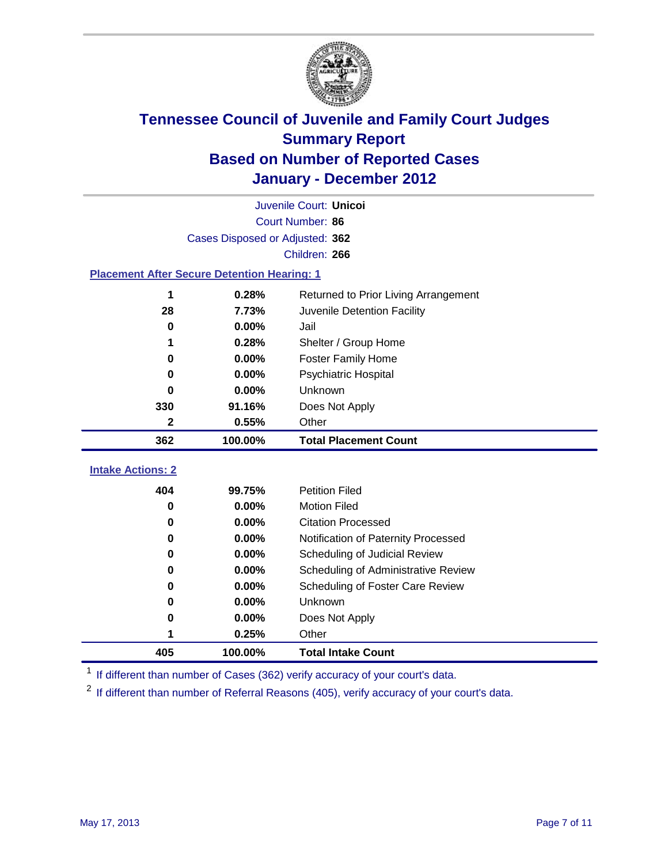

| Juvenile Court: Unicoi                             |                                 |                                      |  |  |  |
|----------------------------------------------------|---------------------------------|--------------------------------------|--|--|--|
|                                                    | Court Number: 86                |                                      |  |  |  |
|                                                    | Cases Disposed or Adjusted: 362 |                                      |  |  |  |
|                                                    |                                 | Children: 266                        |  |  |  |
| <b>Placement After Secure Detention Hearing: 1</b> |                                 |                                      |  |  |  |
| 1                                                  | 0.28%                           | Returned to Prior Living Arrangement |  |  |  |
| 28                                                 | 7.73%                           | Juvenile Detention Facility          |  |  |  |
| $\bf{0}$                                           | 0.00%                           | Jail                                 |  |  |  |
| 1                                                  | 0.28%                           | Shelter / Group Home                 |  |  |  |
| $\bf{0}$                                           | 0.00%                           | <b>Foster Family Home</b>            |  |  |  |
| 0                                                  | 0.00%                           | Psychiatric Hospital                 |  |  |  |
| 0                                                  | 0.00%                           | Unknown                              |  |  |  |
| 330                                                | 91.16%                          | Does Not Apply                       |  |  |  |
| $\mathbf{2}$                                       | 0.55%                           | Other                                |  |  |  |
| 362                                                | 100.00%                         | <b>Total Placement Count</b>         |  |  |  |
|                                                    |                                 |                                      |  |  |  |
| <b>Intake Actions: 2</b>                           |                                 |                                      |  |  |  |
| 404                                                | 99.75%                          | <b>Petition Filed</b>                |  |  |  |
| $\bf{0}$                                           | 0.00%                           | <b>Motion Filed</b>                  |  |  |  |
| $\bf{0}$                                           | 0.00%                           | <b>Citation Processed</b>            |  |  |  |
| 0                                                  | 0.00%                           | Notification of Paternity Processed  |  |  |  |
| $\mathbf 0$                                        | 0.00%                           | Scheduling of Judicial Review        |  |  |  |
| $\bf{0}$                                           | 0.00%                           | Scheduling of Administrative Review  |  |  |  |
| 0                                                  | 0.00%                           | Scheduling of Foster Care Review     |  |  |  |
| 0                                                  | 0.00%                           | Unknown                              |  |  |  |
| 0                                                  | 0.00%                           | Does Not Apply                       |  |  |  |
|                                                    | 0.25%                           | Other                                |  |  |  |
| 405                                                | 100.00%                         | <b>Total Intake Count</b>            |  |  |  |

<sup>1</sup> If different than number of Cases (362) verify accuracy of your court's data.

<sup>2</sup> If different than number of Referral Reasons (405), verify accuracy of your court's data.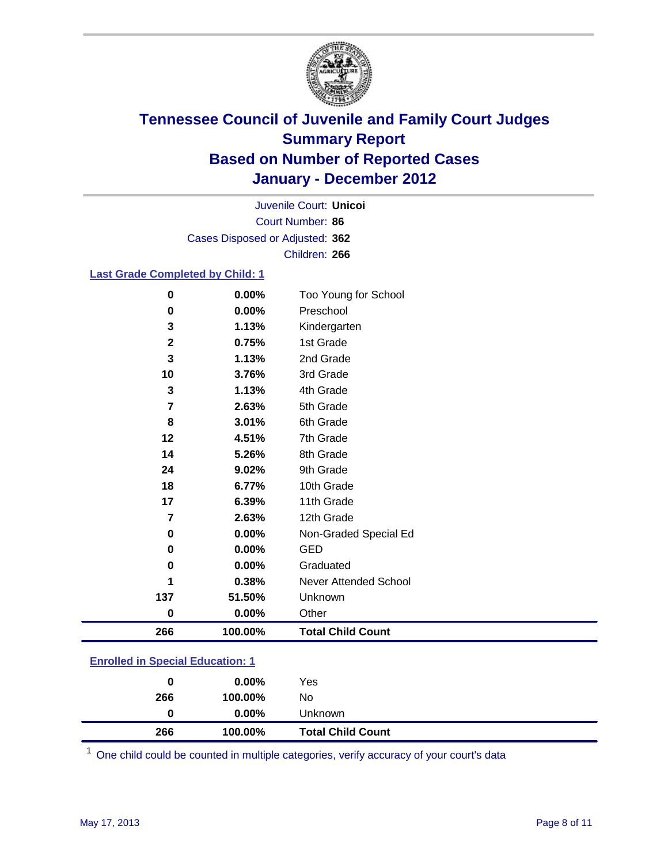

Court Number: **86** Juvenile Court: **Unicoi** Cases Disposed or Adjusted: **362** Children: **266**

#### **Last Grade Completed by Child: 1**

| 266            | 100.00% | <b>Total Child Count</b> |
|----------------|---------|--------------------------|
| $\bf{0}$       | 0.00%   | Other                    |
| 137            | 51.50%  | Unknown                  |
| 1              | 0.38%   | Never Attended School    |
| 0              | 0.00%   | Graduated                |
| 0              | 0.00%   | <b>GED</b>               |
| $\mathbf 0$    | 0.00%   | Non-Graded Special Ed    |
| $\overline{7}$ | 2.63%   | 12th Grade               |
| 17             | 6.39%   | 11th Grade               |
| 18             | 6.77%   | 10th Grade               |
| 24             | 9.02%   | 9th Grade                |
| 14             | 5.26%   | 8th Grade                |
| 12             | 4.51%   | 7th Grade                |
| 8              | 3.01%   | 6th Grade                |
| 7              | 2.63%   | 5th Grade                |
| $\mathbf 3$    | 1.13%   | 4th Grade                |
| 10             | 3.76%   | 3rd Grade                |
| 3              | 1.13%   | 2nd Grade                |
| $\mathbf 2$    | 0.75%   | 1st Grade                |
| 3              | 1.13%   | Kindergarten             |
| 0              | 0.00%   | Preschool                |
| $\bf{0}$       | 0.00%   | Too Young for School     |

### **Enrolled in Special Education: 1**

| 0   | $0.00\%$ | Yes                      |
|-----|----------|--------------------------|
| 266 | 100.00%  | No                       |
|     | $0.00\%$ | Unknown                  |
| 266 | 100.00%  | <b>Total Child Count</b> |

One child could be counted in multiple categories, verify accuracy of your court's data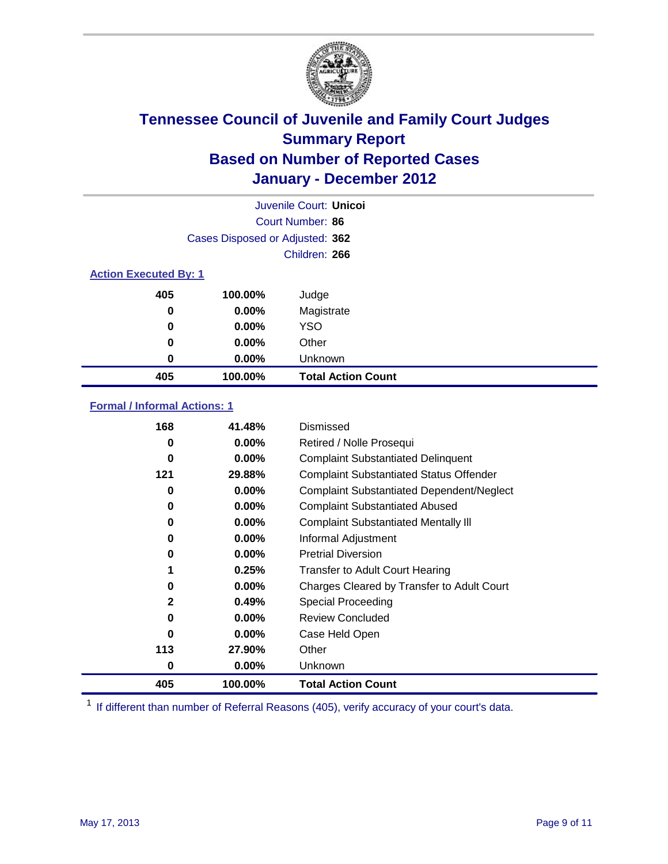

|                              | Juvenile Court: Unicol          |                           |  |  |
|------------------------------|---------------------------------|---------------------------|--|--|
|                              |                                 | Court Number: 86          |  |  |
|                              | Cases Disposed or Adjusted: 362 |                           |  |  |
|                              |                                 | Children: 266             |  |  |
| <b>Action Executed By: 1</b> |                                 |                           |  |  |
| 405                          | 100.00%                         | Judge                     |  |  |
| 0                            | $0.00\%$                        | Magistrate                |  |  |
| 0                            | $0.00\%$                        | <b>YSO</b>                |  |  |
| 0                            | 0.00%                           | Other                     |  |  |
| 0                            | 0.00%                           | Unknown                   |  |  |
| 405                          | 100.00%                         | <b>Total Action Count</b> |  |  |

### **Formal / Informal Actions: 1**

| 168 | 41.48%   | Dismissed                                        |
|-----|----------|--------------------------------------------------|
| 0   | $0.00\%$ | Retired / Nolle Prosequi                         |
| 0   | $0.00\%$ | <b>Complaint Substantiated Delinquent</b>        |
| 121 | 29.88%   | <b>Complaint Substantiated Status Offender</b>   |
| 0   | $0.00\%$ | <b>Complaint Substantiated Dependent/Neglect</b> |
| 0   | $0.00\%$ | <b>Complaint Substantiated Abused</b>            |
| 0   | $0.00\%$ | <b>Complaint Substantiated Mentally III</b>      |
| 0   | $0.00\%$ | Informal Adjustment                              |
| 0   | $0.00\%$ | <b>Pretrial Diversion</b>                        |
| 1   | 0.25%    | <b>Transfer to Adult Court Hearing</b>           |
| 0   | $0.00\%$ | Charges Cleared by Transfer to Adult Court       |
| 2   | 0.49%    | Special Proceeding                               |
| 0   | $0.00\%$ | <b>Review Concluded</b>                          |
| 0   | $0.00\%$ | Case Held Open                                   |
| 113 | 27.90%   | Other                                            |
| 0   | $0.00\%$ | Unknown                                          |
| 405 | 100.00%  | <b>Total Action Count</b>                        |

<sup>1</sup> If different than number of Referral Reasons (405), verify accuracy of your court's data.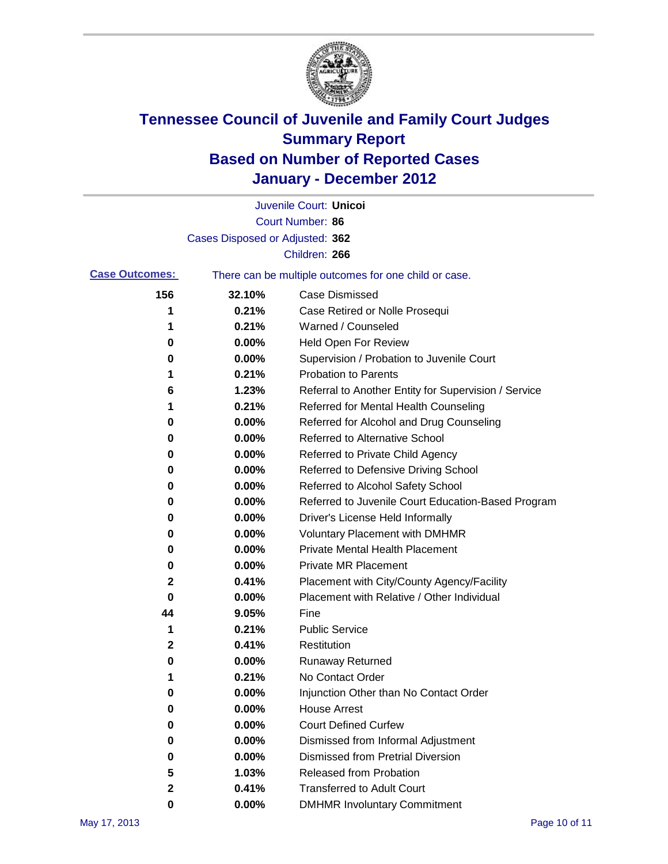

|                       |                                 | Juvenile Court: Unicoi                                |
|-----------------------|---------------------------------|-------------------------------------------------------|
|                       |                                 | Court Number: 86                                      |
|                       | Cases Disposed or Adjusted: 362 |                                                       |
|                       |                                 | Children: 266                                         |
| <b>Case Outcomes:</b> |                                 | There can be multiple outcomes for one child or case. |
| 156                   | 32.10%                          | <b>Case Dismissed</b>                                 |
| 1                     | 0.21%                           | Case Retired or Nolle Prosequi                        |
| 1                     | 0.21%                           | Warned / Counseled                                    |
| 0                     | 0.00%                           | <b>Held Open For Review</b>                           |
| 0                     | 0.00%                           | Supervision / Probation to Juvenile Court             |
| 1                     | 0.21%                           | <b>Probation to Parents</b>                           |
| 6                     | 1.23%                           | Referral to Another Entity for Supervision / Service  |
| 1                     | 0.21%                           | Referred for Mental Health Counseling                 |
| 0                     | 0.00%                           | Referred for Alcohol and Drug Counseling              |
| 0                     | 0.00%                           | <b>Referred to Alternative School</b>                 |
| 0                     | 0.00%                           | Referred to Private Child Agency                      |
| 0                     | 0.00%                           | Referred to Defensive Driving School                  |
| 0                     | 0.00%                           | Referred to Alcohol Safety School                     |
| 0                     | 0.00%                           | Referred to Juvenile Court Education-Based Program    |
| 0                     | 0.00%                           | Driver's License Held Informally                      |
| 0                     | 0.00%                           | <b>Voluntary Placement with DMHMR</b>                 |
| 0                     | 0.00%                           | <b>Private Mental Health Placement</b>                |
| 0                     | 0.00%                           | <b>Private MR Placement</b>                           |
| 2                     | 0.41%                           | Placement with City/County Agency/Facility            |
| 0                     | 0.00%                           | Placement with Relative / Other Individual            |
| 44                    | 9.05%                           | Fine                                                  |
| 1                     | 0.21%                           | <b>Public Service</b>                                 |
| 2                     | 0.41%                           | Restitution                                           |
| 0                     | 0.00%                           | <b>Runaway Returned</b>                               |
| 1                     | 0.21%                           | No Contact Order                                      |
| 0                     | 0.00%                           | Injunction Other than No Contact Order                |
| 0                     | 0.00%                           | <b>House Arrest</b>                                   |
| 0                     | 0.00%                           | <b>Court Defined Curfew</b>                           |
| 0                     | 0.00%                           | Dismissed from Informal Adjustment                    |
| 0                     | 0.00%                           | <b>Dismissed from Pretrial Diversion</b>              |
| 5                     | 1.03%                           | Released from Probation                               |
| 2                     | 0.41%                           | <b>Transferred to Adult Court</b>                     |
| 0                     | $0.00\%$                        | <b>DMHMR Involuntary Commitment</b>                   |